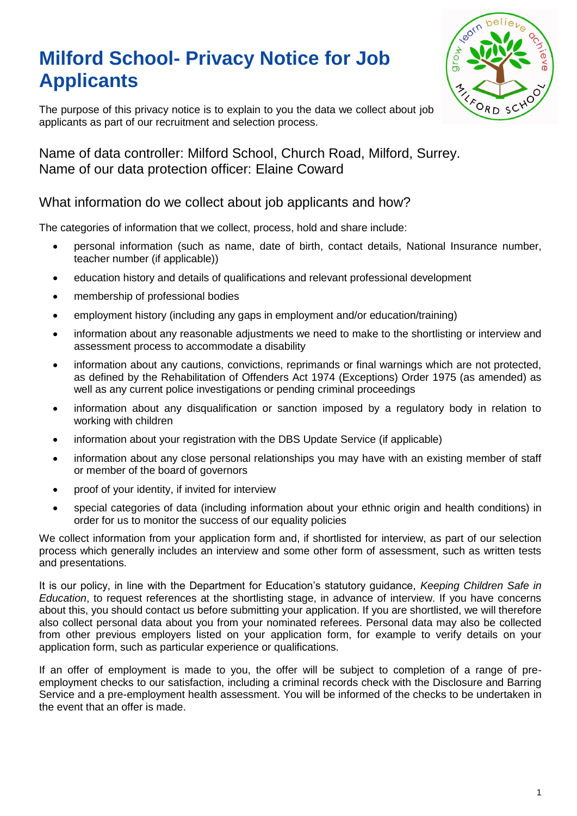# **Milford School- Privacy Notice for Job Applicants**



The purpose of this privacy notice is to explain to you the data we collect about job applicants as part of our recruitment and selection process.

Name of data controller: Milford School, Church Road, Milford, Surrey. Name of our data protection officer: Elaine Coward

# What information do we collect about job applicants and how?

The categories of information that we collect, process, hold and share include:

- personal information (such as name, date of birth, contact details, National Insurance number, teacher number (if applicable))
- education history and details of qualifications and relevant professional development
- membership of professional bodies
- employment history (including any gaps in employment and/or education/training)
- information about any reasonable adjustments we need to make to the shortlisting or interview and assessment process to accommodate a disability
- information about any cautions, convictions, reprimands or final warnings which are not protected, as defined by the Rehabilitation of Offenders Act 1974 (Exceptions) Order 1975 (as amended) as well as any current police investigations or pending criminal proceedings
- information about any disqualification or sanction imposed by a regulatory body in relation to working with children
- information about your registration with the DBS Update Service (if applicable)
- information about any close personal relationships you may have with an existing member of staff or member of the board of governors
- proof of your identity, if invited for interview
- special categories of data (including information about your ethnic origin and health conditions) in order for us to monitor the success of our equality policies

We collect information from your application form and, if shortlisted for interview, as part of our selection process which generally includes an interview and some other form of assessment, such as written tests and presentations.

It is our policy, in line with the Department for Education's statutory guidance, *Keeping Children Safe in Education*, to request references at the shortlisting stage, in advance of interview. If you have concerns about this, you should contact us before submitting your application. If you are shortlisted, we will therefore also collect personal data about you from your nominated referees. Personal data may also be collected from other previous employers listed on your application form, for example to verify details on your application form, such as particular experience or qualifications.

If an offer of employment is made to you, the offer will be subject to completion of a range of preemployment checks to our satisfaction, including a criminal records check with the Disclosure and Barring Service and a pre-employment health assessment. You will be informed of the checks to be undertaken in the event that an offer is made.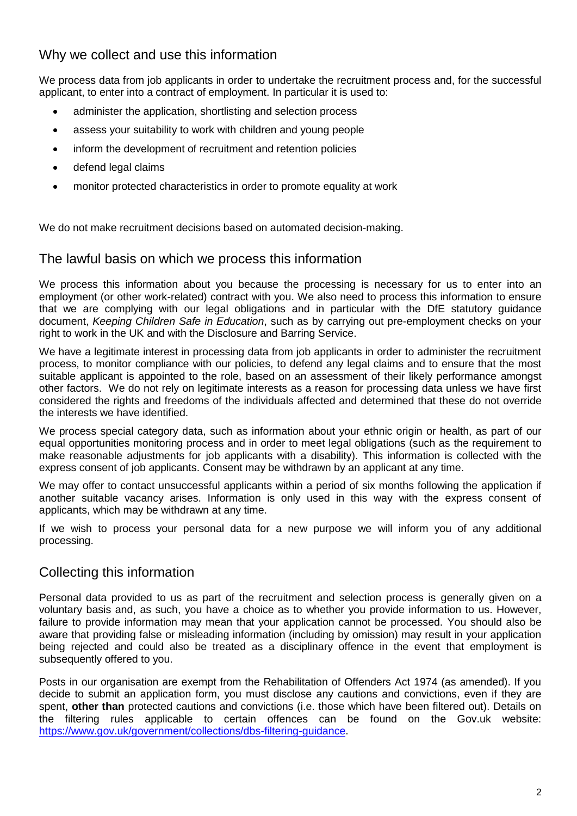# Why we collect and use this information

We process data from job applicants in order to undertake the recruitment process and, for the successful applicant, to enter into a contract of employment. In particular it is used to:

- administer the application, shortlisting and selection process
- assess your suitability to work with children and young people
- inform the development of recruitment and retention policies
- defend legal claims
- monitor protected characteristics in order to promote equality at work

We do not make recruitment decisions based on automated decision-making.

#### The lawful basis on which we process this information

We process this information about you because the processing is necessary for us to enter into an employment (or other work-related) contract with you. We also need to process this information to ensure that we are complying with our legal obligations and in particular with the DfE statutory guidance document, *Keeping Children Safe in Education*, such as by carrying out pre-employment checks on your right to work in the UK and with the Disclosure and Barring Service.

We have a legitimate interest in processing data from job applicants in order to administer the recruitment process, to monitor compliance with our policies, to defend any legal claims and to ensure that the most suitable applicant is appointed to the role, based on an assessment of their likely performance amongst other factors. We do not rely on legitimate interests as a reason for processing data unless we have first considered the rights and freedoms of the individuals affected and determined that these do not override the interests we have identified.

We process special category data, such as information about your ethnic origin or health, as part of our equal opportunities monitoring process and in order to meet legal obligations (such as the requirement to make reasonable adjustments for job applicants with a disability). This information is collected with the express consent of job applicants. Consent may be withdrawn by an applicant at any time.

We may offer to contact unsuccessful applicants within a period of six months following the application if another suitable vacancy arises. Information is only used in this way with the express consent of applicants, which may be withdrawn at any time.

If we wish to process your personal data for a new purpose we will inform you of any additional processing.

## Collecting this information

Personal data provided to us as part of the recruitment and selection process is generally given on a voluntary basis and, as such, you have a choice as to whether you provide information to us. However, failure to provide information may mean that your application cannot be processed. You should also be aware that providing false or misleading information (including by omission) may result in your application being rejected and could also be treated as a disciplinary offence in the event that employment is subsequently offered to you.

Posts in our organisation are exempt from the Rehabilitation of Offenders Act 1974 (as amended). If you decide to submit an application form, you must disclose any cautions and convictions, even if they are spent, **other than** protected cautions and convictions (i.e. those which have been filtered out). Details on the filtering rules applicable to certain offences can be found on the Gov.uk website: [https://www.gov.uk/government/collections/dbs-filtering-guidance.](https://www.gov.uk/government/collections/dbs-filtering-guidance)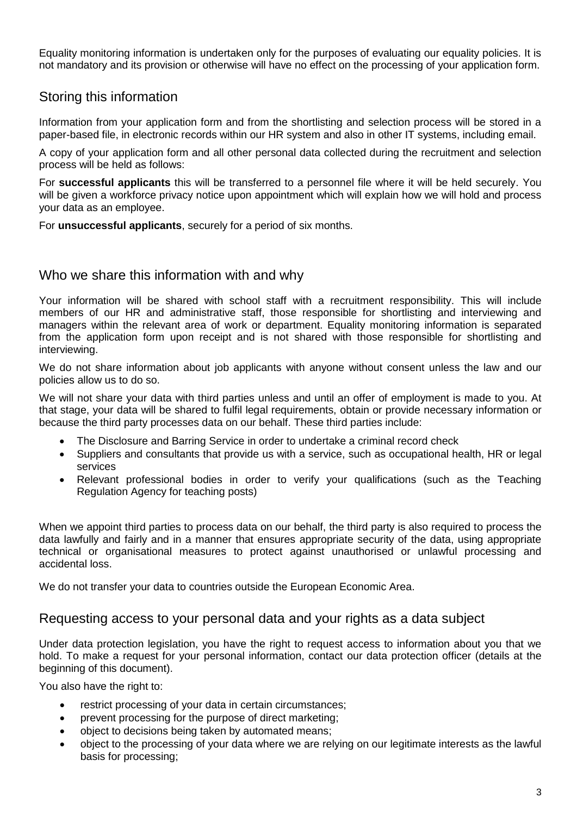Equality monitoring information is undertaken only for the purposes of evaluating our equality policies. It is not mandatory and its provision or otherwise will have no effect on the processing of your application form.

## Storing this information

Information from your application form and from the shortlisting and selection process will be stored in a paper-based file, in electronic records within our HR system and also in other IT systems, including email.

A copy of your application form and all other personal data collected during the recruitment and selection process will be held as follows:

For **successful applicants** this will be transferred to a personnel file where it will be held securely. You will be given a workforce privacy notice upon appointment which will explain how we will hold and process your data as an employee.

For **unsuccessful applicants**, securely for a period of six months.

## Who we share this information with and why

Your information will be shared with school staff with a recruitment responsibility. This will include members of our HR and administrative staff, those responsible for shortlisting and interviewing and managers within the relevant area of work or department. Equality monitoring information is separated from the application form upon receipt and is not shared with those responsible for shortlisting and interviewing.

We do not share information about job applicants with anyone without consent unless the law and our policies allow us to do so.

We will not share your data with third parties unless and until an offer of employment is made to you. At that stage, your data will be shared to fulfil legal requirements, obtain or provide necessary information or because the third party processes data on our behalf. These third parties include:

- The Disclosure and Barring Service in order to undertake a criminal record check
- Suppliers and consultants that provide us with a service, such as occupational health, HR or legal services
- Relevant professional bodies in order to verify your qualifications (such as the Teaching Regulation Agency for teaching posts)

When we appoint third parties to process data on our behalf, the third party is also required to process the data lawfully and fairly and in a manner that ensures appropriate security of the data, using appropriate technical or organisational measures to protect against unauthorised or unlawful processing and accidental loss.

We do not transfer your data to countries outside the European Economic Area.

#### Requesting access to your personal data and your rights as a data subject

Under data protection legislation, you have the right to request access to information about you that we hold. To make a request for your personal information, contact our data protection officer (details at the beginning of this document).

You also have the right to:

- restrict processing of your data in certain circumstances;
- prevent processing for the purpose of direct marketing;
- object to decisions being taken by automated means;
- object to the processing of your data where we are relying on our legitimate interests as the lawful basis for processing;